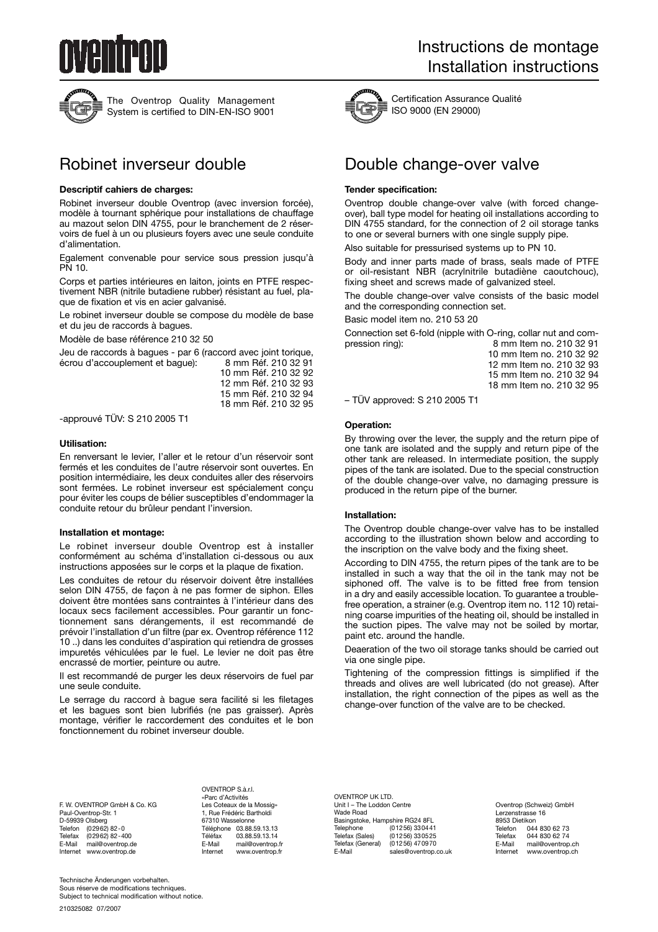



The Oventrop Quality Management System is certified to DIN-EN-ISO 9001

#### **Descriptif cahiers de charges:**

Robinet inverseur double Oventrop (avec inversion forcée), modèle à tournant sphérique pour installations de chauffage au mazout selon DIN 4755, pour le branchement de 2 réservoirs de fuel à un ou plusieurs foyers avec une seule conduite d'alimentation.

Egalement convenable pour service sous pression jusqu'à PN 10.

Corps et parties intérieures en laiton, joints en PTFE respectivement NBR (nitrile butadiene rubber) résistant au fuel, plaque de fixation et vis en acier galvanisé.

Le robinet inverseur double se compose du modèle de base et du jeu de raccords à bagues.

Modèle de base référence 210 32 50

Jeu de raccords à bagues - par 6 (raccord avec joint torique, écrou d'accouplement et bague):

10 mm Réf. 210 32 92 12 mm Réf. 210 32 93 15 mm Réf. 210 32 94 18 mm Réf. 210 32 95

-approuvé TÜV: S 210 2005 T1

#### **Utilisation:**

En renversant le levier, I'aller et le retour d'un réservoir sont fermés et les conduites de l'autre réservoir sont ouvertes. En position intermédiaire, les deux conduites aller des réservoirs sont fermées. Le robinet inverseur est spécialement conçu pour éviter les coups de bélier susceptibles d'endommager la conduite retour du brûleur pendant l'inversion.

## **Installation et montage:**

Le robinet inverseur double Oventrop est à installer conformément au schéma d'installation ci-dessous ou aux instructions apposées sur le corps et la plaque de fixation.

Les conduites de retour du réservoir doivent être installées selon DIN 4755, de façon à ne pas former de siphon. Elles doivent être montées sans contraintes à l'intérieur dans des locaux secs facilement accessibles. Pour garantir un fonctionnement sans dérangements, il est recommandé de prévoir l'installation d'un filtre (par ex. Oventrop référence 112 10 ..) dans les conduites d'aspiration qui retiendra de grosses impuretés véhiculées par le fuel. Le levier ne doit pas être encrassé de mortier, peinture ou autre.

Il est recommandé de purger les deux réservoirs de fuel par une seule conduite.

Le serrage du raccord à bague sera facilité si les filetages et les bagues sont bien lubrifiés (ne pas graisser). Après montage, vérifier le raccordement des conduites et le bon fonctionnement du robinet inverseur double.



Certification Assurance Qualité ISO 9000 (EN 29000)

# Robinet inverseur double **Double change-over valve**

#### **Tender specification:**

Oventrop double change-over valve (with forced changeover), ball type model for heating oil installations according to DIN 4755 standard, for the connection of 2 oil storage tanks to one or several burners with one single supply pipe.

Also suitable for pressurised systems up to PN 10.

Body and inner parts made of brass, seals made of PTFE or oil-resistant NBR (acrylnitrile butadiène caoutchouc), fixing sheet and screws made of galvanized steel.

The double change-over valve consists of the basic model and the corresponding connection set.

Basic model item no. 210 53 20

Connection set 6-fold (nipple with O-ring, collar nut and com-<br>pression ring): 8 mm Item no. 210 32 91 8 mm Item no. 210 32 91

10 mm Item no. 210 32 92 12 mm Item no. 210 32 93 15 mm Item no. 210 32 94 18 mm Item no. 210 32 95

– TÜV approved: S 210 2005 T1

#### **Operation:**

By throwing over the lever, the supply and the return pipe of one tank are isolated and the supply and return pipe of the other tank are released. In intermediate position, the supply pipes of the tank are isolated. Due to the special construction of the double change-over valve, no damaging pressure is produced in the return pipe of the burner.

#### **Installation:**

The Oventrop double change-over valve has to be installed according to the illustration shown below and according to the inscription on the valve body and the fixing sheet.

According to DIN 4755, the return pipes of the tank are to be installed in such a way that the oil in the tank may not be siphoned off. The valve is to be fitted free from tension in a dry and easily accessible location. To guarantee a troublefree operation, a strainer (e.g. Oventrop item no. 112 10) retaining coarse impurities of the heating oil, should be installed in the suction pipes. The valve may not be soiled by mortar, paint etc. around the handle.

Deaeration of the two oil storage tanks should be carried out via one single pipe.

Tightening of the compression fittings is simplified if the threads and olives are well lubricated (do not grease). After installation, the right connection of the pipes as well as the change-over function of the valve are to be checked.

F. W. OVENTROP GmbH & Co. KG Paul-Oventrop-Str. 1 D-59939 Olsberg<br>Telefon (02962) Telefon (02962) 82-0 Telefax (02962) 82-400 E-Mail mail@oventrop.de Internet www.oventrop.de

OVENTROP S à ri «Parc d'Activités Les Coteaux de la Mossig» 1, Rue Frédéric Bartholdi 67310 Wasselonne Téléphone 03.88.59.13.13 Téléfax 03.88.59.13.14<br>E-Mail mail@oventron E-Mail mail@oventrop.fr<br>Internet www.oventrop.fr www.oventrop.fr

OVENTROP UK LTD. Unit I – The Loddon Centre Wade Road Basingstoke, Hampshire RG24 8FL<br>Telephone (01256) 33044 Telephone (01256) 330441 Telefax (Sales) (01256) 330525 Telefax (General) (01256) 470970<br>E-Mail sales@oventrop. sales@oventrop.co.uk

Oventrop (Schweiz) GmbH Lerzenstrasse 16 8953 Dietikon Telefon 044 830 62 73<br>Telefax 044 830 62 74 Telefax 044 830 62 74<br>F-Mail mail@oventron E-Mail mail@oventrop.ch<br>Internet www.oventrop.ch www.oventrop.ch

Technische Änderungen vorbehalten. Sous réserve de modifications techniques. Subject to technical modification without notice.